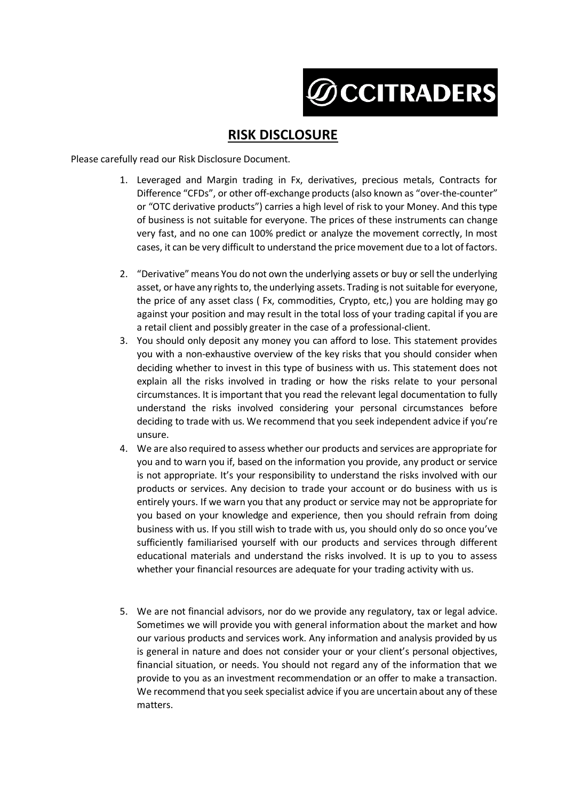

## **RISK DISCLOSURE**

Please carefully read our Risk Disclosure Document.

- 1. Leveraged and Margin trading in Fx, derivatives, precious metals, Contracts for Difference "CFDs", or other off-exchange products (also known as "over-the-counter" or "OTC derivative products") carries a high level of risk to your Money. And this type of business is not suitable for everyone. The prices of these instruments can change very fast, and no one can 100% predict or analyze the movement correctly, In most cases, it can be very difficult to understand the price movement due to a lot of factors.
- 2. "Derivative" means You do not own the underlying assets or buy or sell the underlying asset, or have any rights to, the underlying assets. Trading is not suitable for everyone, the price of any asset class ( Fx, commodities, Crypto, etc,) you are holding may go against your position and may result in the total loss of your trading capital if you are a retail client and possibly greater in the case of a professional-client.
- 3. You should only deposit any money you can afford to lose. This statement provides you with a non-exhaustive overview of the key risks that you should consider when deciding whether to invest in this type of business with us. This statement does not explain all the risks involved in trading or how the risks relate to your personal circumstances. It is important that you read the relevant legal documentation to fully understand the risks involved considering your personal circumstances before deciding to trade with us. We recommend that you seek independent advice if you're unsure.
- 4. We are also required to assess whether our products and services are appropriate for you and to warn you if, based on the information you provide, any product or service is not appropriate. It's your responsibility to understand the risks involved with our products or services. Any decision to trade your account or do business with us is entirely yours. If we warn you that any product or service may not be appropriate for you based on your knowledge and experience, then you should refrain from doing business with us. If you still wish to trade with us, you should only do so once you've sufficiently familiarised yourself with our products and services through different educational materials and understand the risks involved. It is up to you to assess whether your financial resources are adequate for your trading activity with us.
- 5. We are not financial advisors, nor do we provide any regulatory, tax or legal advice. Sometimes we will provide you with general information about the market and how our various products and services work. Any information and analysis provided by us is general in nature and does not consider your or your client's personal objectives, financial situation, or needs. You should not regard any of the information that we provide to you as an investment recommendation or an offer to make a transaction. We recommend that you seek specialist advice if you are uncertain about any of these matters.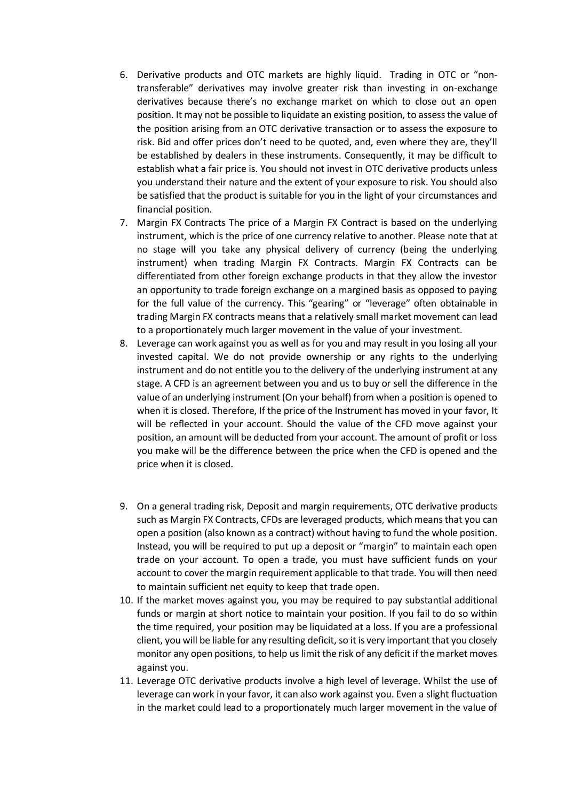- 6. Derivative products and OTC markets are highly liquid. Trading in OTC or "nontransferable" derivatives may involve greater risk than investing in on-exchange derivatives because there's no exchange market on which to close out an open position. It may not be possible to liquidate an existing position, to assess the value of the position arising from an OTC derivative transaction or to assess the exposure to risk. Bid and offer prices don't need to be quoted, and, even where they are, they'll be established by dealers in these instruments. Consequently, it may be difficult to establish what a fair price is. You should not invest in OTC derivative products unless you understand their nature and the extent of your exposure to risk. You should also be satisfied that the product is suitable for you in the light of your circumstances and financial position.
- 7. Margin FX Contracts The price of a Margin FX Contract is based on the underlying instrument, which is the price of one currency relative to another. Please note that at no stage will you take any physical delivery of currency (being the underlying instrument) when trading Margin FX Contracts. Margin FX Contracts can be differentiated from other foreign exchange products in that they allow the investor an opportunity to trade foreign exchange on a margined basis as opposed to paying for the full value of the currency. This "gearing" or "leverage" often obtainable in trading Margin FX contracts means that a relatively small market movement can lead to a proportionately much larger movement in the value of your investment.
- 8. Leverage can work against you as well as for you and may result in you losing all your invested capital. We do not provide ownership or any rights to the underlying instrument and do not entitle you to the delivery of the underlying instrument at any stage. A CFD is an agreement between you and us to buy or sell the difference in the value of an underlying instrument (On your behalf) from when a position is opened to when it is closed. Therefore, If the price of the Instrument has moved in your favor, It will be reflected in your account. Should the value of the CFD move against your position, an amount will be deducted from your account. The amount of profit or loss you make will be the difference between the price when the CFD is opened and the price when it is closed.
- 9. On a general trading risk, Deposit and margin requirements, OTC derivative products such as Margin FX Contracts, CFDs are leveraged products, which means that you can open a position (also known as a contract) without having to fund the whole position. Instead, you will be required to put up a deposit or "margin" to maintain each open trade on your account. To open a trade, you must have sufficient funds on your account to cover the margin requirement applicable to that trade. You will then need to maintain sufficient net equity to keep that trade open.
- 10. If the market moves against you, you may be required to pay substantial additional funds or margin at short notice to maintain your position. If you fail to do so within the time required, your position may be liquidated at a loss. If you are a professional client, you will be liable for any resulting deficit, so it is very important that you closely monitor any open positions, to help us limit the risk of any deficit if the market moves against you.
- 11. Leverage OTC derivative products involve a high level of leverage. Whilst the use of leverage can work in your favor, it can also work against you. Even a slight fluctuation in the market could lead to a proportionately much larger movement in the value of